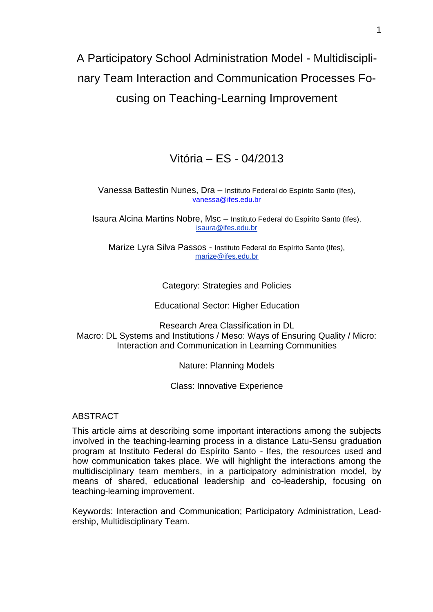# A Participatory School Administration Model - Multidisciplinary Team Interaction and Communication Processes Focusing on Teaching-Learning Improvement

# Vitória – ES - 04/2013

## Vanessa Battestin Nunes, Dra – Instituto Federal do Espírito Santo (Ifes), [vanessa@ifes.edu.br](mailto:vanessa@ifes.edu.br)

Isaura Alcina Martins Nobre, Msc – Instituto Federal do Espírito Santo (Ifes), isaura@ifes.edu.br

Marize Lyra Silva Passos - Instituto Federal do Espírito Santo (Ifes), [marize@ifes.edu.br](mailto:marize.passos@ifes.edu.br)

# Category: Strategies and Policies

Educational Sector: Higher Education

Research Area Classification in DL Macro: DL Systems and Institutions / Meso: Ways of Ensuring Quality / Micro: Interaction and Communication in Learning Communities

Nature: Planning Models

Class: Innovative Experience

# ABSTRACT

This article aims at describing some important interactions among the subjects involved in the teaching-learning process in a distance Latu-Sensu graduation program at Instituto Federal do Espírito Santo - Ifes, the resources used and how communication takes place. We will highlight the interactions among the multidisciplinary team members, in a participatory administration model, by means of shared, educational leadership and co-leadership, focusing on teaching-learning improvement.

Keywords: Interaction and Communication; Participatory Administration, Leadership, Multidisciplinary Team.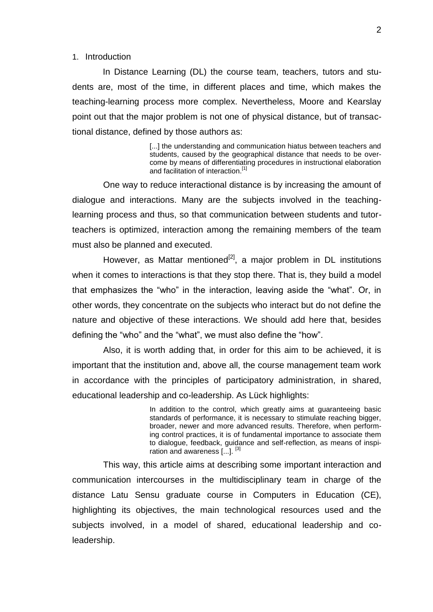#### 1. Introduction

 In Distance Learning (DL) the course team, teachers, tutors and students are, most of the time, in different places and time, which makes the teaching-learning process more complex. Nevertheless, Moore and Kearslay point out that the major problem is not one of physical distance, but of transactional distance, defined by those authors as:

> [...] the understanding and communication hiatus between teachers and students, caused by the geographical distance that needs to be overcome by means of differentiating procedures in instructional elaboration and facilitation of interaction.<sup>[1]</sup>

One way to reduce interactional distance is by increasing the amount of dialogue and interactions. Many are the subjects involved in the teachinglearning process and thus, so that communication between students and tutorteachers is optimized, interaction among the remaining members of the team must also be planned and executed.

However, as Mattar mentioned $^{[2]}$ , a major problem in DL institutions when it comes to interactions is that they stop there. That is, they build a model that emphasizes the "who" in the interaction, leaving aside the "what". Or, in other words, they concentrate on the subjects who interact but do not define the nature and objective of these interactions. We should add here that, besides defining the "who" and the "what", we must also define the "how".

Also, it is worth adding that, in order for this aim to be achieved, it is important that the institution and, above all, the course management team work in accordance with the principles of participatory administration, in shared, educational leadership and co-leadership. As Lück highlights:

> In addition to the control, which greatly aims at guaranteeing basic standards of performance, it is necessary to stimulate reaching bigger, broader, newer and more advanced results. Therefore, when performing control practices, it is of fundamental importance to associate them to dialogue, feedback, guidance and self-reflection, as means of inspiration and awareness [...].<sup>[3]</sup>

This way, this article aims at describing some important interaction and communication intercourses in the multidisciplinary team in charge of the distance Latu Sensu graduate course in Computers in Education (CE), highlighting its objectives, the main technological resources used and the subjects involved, in a model of shared, educational leadership and coleadership.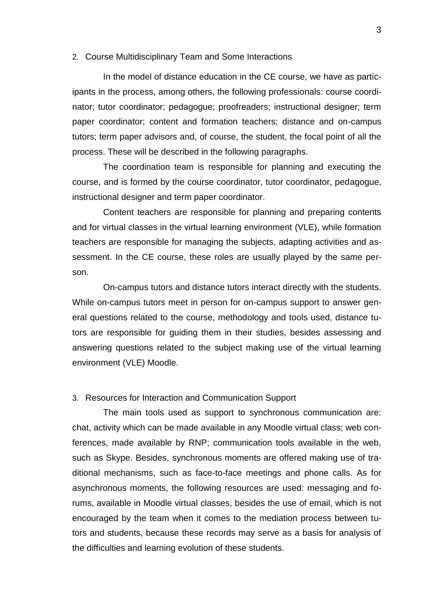#### 2. Course Multidisciplinary Team and Some Interactions

In the model of distance education in the CE course, we have as participants in the process, among others, the following professionals: course coordinator; tutor coordinator; pedagogue; proofreaders; instructional designer; term paper coordinator; content and formation teachers; distance and on-campus tutors; term paper advisors and, of course, the student, the focal point of all the process. These will be described in the following paragraphs.

The coordination team is responsible for planning and executing the course, and is formed by the course coordinator, tutor coordinator, pedagogue, instructional designer and term paper coordinator.

Content teachers are responsible for planning and preparing contents and for virtual classes in the virtual learning environment (VLE), while formation teachers are responsible for managing the subjects, adapting activities and assessment. In the CE course, these roles are usually played by the same person.

On-campus tutors and distance tutors interact directly with the students. While on-campus tutors meet in person for on-campus support to answer general questions related to the course, methodology and tools used, distance tutors are responsible for guiding them in their studies, besides assessing and answering questions related to the subject making use of the virtual learning environment (VLE) Moodle.

#### 3. Resources for Interaction and Communication Support

The main tools used as support to synchronous communication are: chat, activity which can be made available in any Moodle virtual class; web conferences, made available by RNP; communication tools available in the web, such as Skype. Besides, synchronous moments are offered making use of traditional mechanisms, such as face-to-face meetings and phone calls. As for asynchronous moments, the following resources are used: messaging and forums, available in Moodle virtual classes, besides the use of email, which is not encouraged by the team when it comes to the mediation process between tutors and students, because these records may serve as a basis for analysis of the difficulties and learning evolution of these students.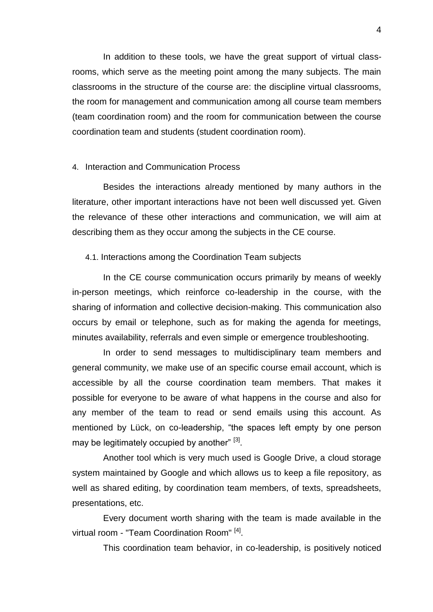In addition to these tools, we have the great support of virtual classrooms, which serve as the meeting point among the many subjects. The main classrooms in the structure of the course are: the discipline virtual classrooms, the room for management and communication among all course team members (team coordination room) and the room for communication between the course coordination team and students (student coordination room).

#### 4. Interaction and Communication Process

Besides the interactions already mentioned by many authors in the literature, other important interactions have not been well discussed yet. Given the relevance of these other interactions and communication, we will aim at describing them as they occur among the subjects in the CE course.

#### 4.1. Interactions among the Coordination Team subjects

In the CE course communication occurs primarily by means of weekly in-person meetings, which reinforce co-leadership in the course, with the sharing of information and collective decision-making. This communication also occurs by email or telephone, such as for making the agenda for meetings, minutes availability, referrals and even simple or emergence troubleshooting.

In order to send messages to multidisciplinary team members and general community, we make use of an specific course email account, which is accessible by all the course coordination team members. That makes it possible for everyone to be aware of what happens in the course and also for any member of the team to read or send emails using this account. As mentioned by Lück, on co-leadership, "the spaces left empty by one person may be legitimately occupied by another" <sup>[3]</sup>.

Another tool which is very much used is Google Drive, a cloud storage system maintained by Google and which allows us to keep a file repository, as well as shared editing, by coordination team members, of texts, spreadsheets, presentations, etc.

Every document worth sharing with the team is made available in the virtual room - "Team Coordination Room"<sup>[4]</sup>.

This coordination team behavior, in co-leadership, is positively noticed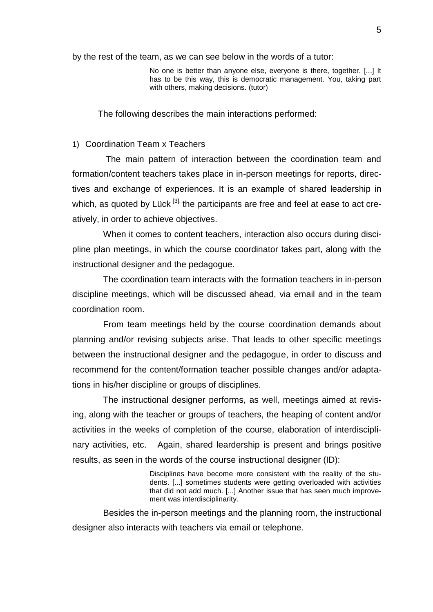by the rest of the team, as we can see below in the words of a tutor:

No one is better than anyone else, everyone is there, together. [...] It has to be this way, this is democratic management. You, taking part with others, making decisions. (tutor)

The following describes the main interactions performed:

#### 1) Coordination Team x Teachers

The main pattern of interaction between the coordination team and formation/content teachers takes place in in-person meetings for reports, directives and exchange of experiences. It is an example of shared leadership in which, as quoted by Lück  $[3]$ , the participants are free and feel at ease to act creatively, in order to achieve objectives.

When it comes to content teachers, interaction also occurs during discipline plan meetings, in which the course coordinator takes part, along with the instructional designer and the pedagogue.

The coordination team interacts with the formation teachers in in-person discipline meetings, which will be discussed ahead, via email and in the team coordination room.

From team meetings held by the course coordination demands about planning and/or revising subjects arise. That leads to other specific meetings between the instructional designer and the pedagogue, in order to discuss and recommend for the content/formation teacher possible changes and/or adaptations in his/her discipline or groups of disciplines.

The instructional designer performs, as well, meetings aimed at revising, along with the teacher or groups of teachers, the heaping of content and/or activities in the weeks of completion of the course, elaboration of interdisciplinary activities, etc. Again, shared leardership is present and brings positive results, as seen in the words of the course instructional designer (ID):

> Disciplines have become more consistent with the reality of the students. [...] sometimes students were getting overloaded with activities that did not add much. [...] Another issue that has seen much improvement was interdisciplinarity.

Besides the in-person meetings and the planning room, the instructional designer also interacts with teachers via email or telephone.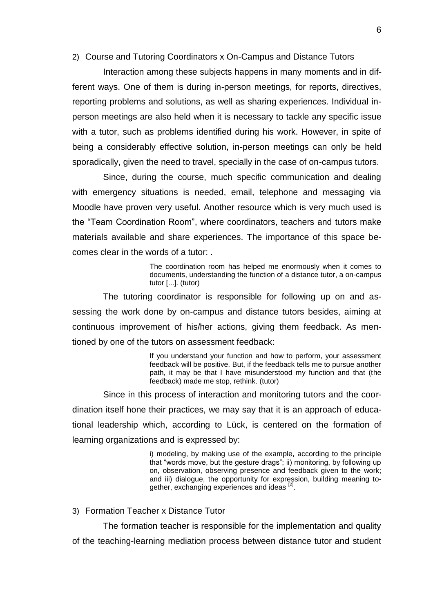### 2) Course and Tutoring Coordinators x On-Campus and Distance Tutors

Interaction among these subjects happens in many moments and in different ways. One of them is during in-person meetings, for reports, directives, reporting problems and solutions, as well as sharing experiences. Individual inperson meetings are also held when it is necessary to tackle any specific issue with a tutor, such as problems identified during his work. However, in spite of being a considerably effective solution, in-person meetings can only be held sporadically, given the need to travel, specially in the case of on-campus tutors.

Since, during the course, much specific communication and dealing with emergency situations is needed, email, telephone and messaging via Moodle have proven very useful. Another resource which is very much used is the "Team Coordination Room", where coordinators, teachers and tutors make materials available and share experiences. The importance of this space becomes clear in the words of a tutor: .

> The coordination room has helped me enormously when it comes to documents, understanding the function of a distance tutor, a on-campus tutor [...]. (tutor)

The tutoring coordinator is responsible for following up on and assessing the work done by on-campus and distance tutors besides, aiming at continuous improvement of his/her actions, giving them feedback. As mentioned by one of the tutors on assessment feedback:

> If you understand your function and how to perform, your assessment feedback will be positive. But, if the feedback tells me to pursue another path, it may be that I have misunderstood my function and that (the feedback) made me stop, rethink. (tutor)

Since in this process of interaction and monitoring tutors and the coordination itself hone their practices, we may say that it is an approach of educational leadership which, according to Lück, is centered on the formation of learning organizations and is expressed by:

> i) modeling, by making use of the example, according to the principle that "words move, but the gesture drags"; ii) monitoring, by following up on, observation, observing presence and feedback given to the work; and iii) dialogue, the opportunity for expression, building meaning together, exchanging experiences and ideas <sup>[2]</sup>.

3) Formation Teacher x Distance Tutor

The formation teacher is responsible for the implementation and quality of the teaching-learning mediation process between distance tutor and student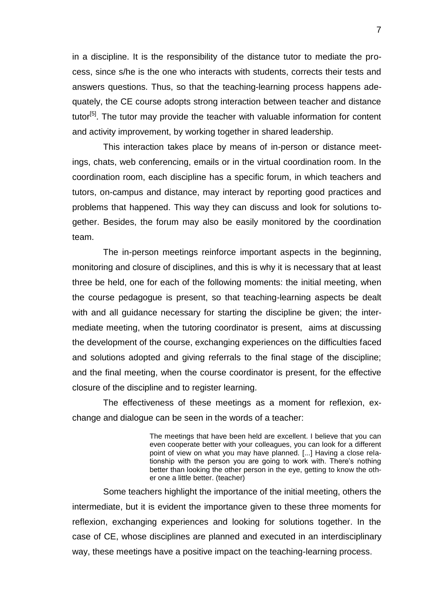in a discipline. It is the responsibility of the distance tutor to mediate the process, since s/he is the one who interacts with students, corrects their tests and answers questions. Thus, so that the teaching-learning process happens adequately, the CE course adopts strong interaction between teacher and distance tutor<sup>[5]</sup>. The tutor may provide the teacher with valuable information for content and activity improvement, by working together in shared leadership.

This interaction takes place by means of in-person or distance meetings, chats, web conferencing, emails or in the virtual coordination room. In the coordination room, each discipline has a specific forum, in which teachers and tutors, on-campus and distance, may interact by reporting good practices and problems that happened. This way they can discuss and look for solutions together. Besides, the forum may also be easily monitored by the coordination team.

The in-person meetings reinforce important aspects in the beginning, monitoring and closure of disciplines, and this is why it is necessary that at least three be held, one for each of the following moments: the initial meeting, when the course pedagogue is present, so that teaching-learning aspects be dealt with and all guidance necessary for starting the discipline be given; the intermediate meeting, when the tutoring coordinator is present, aims at discussing the development of the course, exchanging experiences on the difficulties faced and solutions adopted and giving referrals to the final stage of the discipline; and the final meeting, when the course coordinator is present, for the effective closure of the discipline and to register learning.

The effectiveness of these meetings as a moment for reflexion, exchange and dialogue can be seen in the words of a teacher:

> The meetings that have been held are excellent. I believe that you can even cooperate better with your colleagues, you can look for a different point of view on what you may have planned. [...] Having a close relationship with the person you are going to work with. There's nothing better than looking the other person in the eye, getting to know the other one a little better. (teacher)

Some teachers highlight the importance of the initial meeting, others the intermediate, but it is evident the importance given to these three moments for reflexion, exchanging experiences and looking for solutions together. In the case of CE, whose disciplines are planned and executed in an interdisciplinary way, these meetings have a positive impact on the teaching-learning process.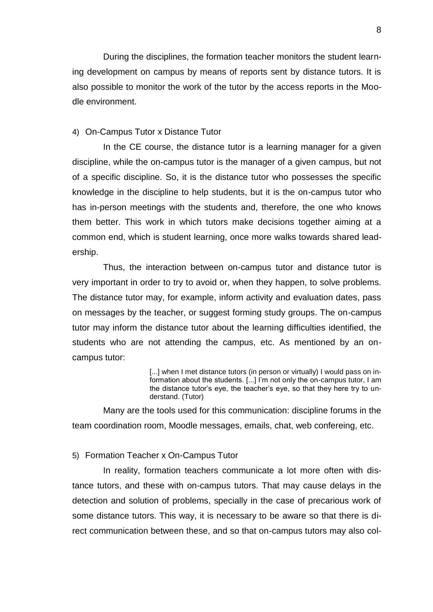During the disciplines, the formation teacher monitors the student learning development on campus by means of reports sent by distance tutors. It is also possible to monitor the work of the tutor by the access reports in the Moodle environment.

# 4) On-Campus Tutor x Distance Tutor

In the CE course, the distance tutor is a learning manager for a given discipline, while the on-campus tutor is the manager of a given campus, but not of a specific discipline. So, it is the distance tutor who possesses the specific knowledge in the discipline to help students, but it is the on-campus tutor who has in-person meetings with the students and, therefore, the one who knows them better. This work in which tutors make decisions together aiming at a common end, which is student learning, once more walks towards shared leadership.

Thus, the interaction between on-campus tutor and distance tutor is very important in order to try to avoid or, when they happen, to solve problems. The distance tutor may, for example, inform activity and evaluation dates, pass on messages by the teacher, or suggest forming study groups. The on-campus tutor may inform the distance tutor about the learning difficulties identified, the students who are not attending the campus, etc. As mentioned by an oncampus tutor:

> [...] when I met distance tutors (in person or virtually) I would pass on information about the students. [...] I'm not only the on-campus tutor, I am the distance tutor's eye, the teacher's eye, so that they here try to understand. (Tutor)

Many are the tools used for this communication: discipline forums in the team coordination room, Moodle messages, emails, chat, web confereing, etc.

#### 5) Formation Teacher x On-Campus Tutor

In reality, formation teachers communicate a lot more often with distance tutors, and these with on-campus tutors. That may cause delays in the detection and solution of problems, specially in the case of precarious work of some distance tutors. This way, it is necessary to be aware so that there is direct communication between these, and so that on-campus tutors may also col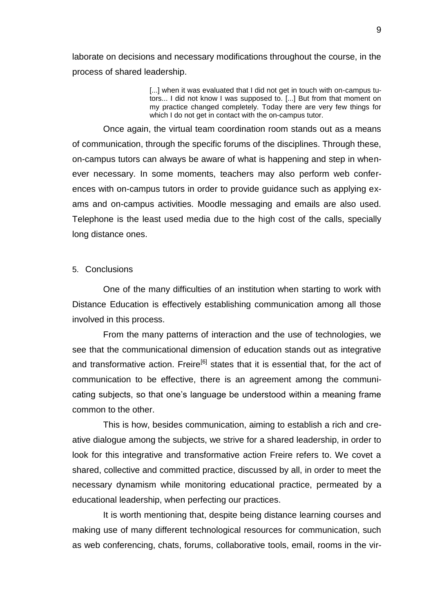laborate on decisions and necessary modifications throughout the course, in the process of shared leadership.

> [...] when it was evaluated that I did not get in touch with on-campus tutors... I did not know I was supposed to. [...] But from that moment on my practice changed completely. Today there are very few things for which I do not get in contact with the on-campus tutor.

Once again, the virtual team coordination room stands out as a means of communication, through the specific forums of the disciplines. Through these, on-campus tutors can always be aware of what is happening and step in whenever necessary. In some moments, teachers may also perform web conferences with on-campus tutors in order to provide guidance such as applying exams and on-campus activities. Moodle messaging and emails are also used. Telephone is the least used media due to the high cost of the calls, specially long distance ones.

#### 5. Conclusions

One of the many difficulties of an institution when starting to work with Distance Education is effectively establishing communication among all those involved in this process.

From the many patterns of interaction and the use of technologies, we see that the communicational dimension of education stands out as integrative and transformative action. Freire<sup>[6]</sup> states that it is essential that, for the act of communication to be effective, there is an agreement among the communicating subjects, so that one's language be understood within a meaning frame common to the other.

This is how, besides communication, aiming to establish a rich and creative dialogue among the subjects, we strive for a shared leadership, in order to look for this integrative and transformative action Freire refers to. We covet a shared, collective and committed practice, discussed by all, in order to meet the necessary dynamism while monitoring educational practice, permeated by a educational leadership, when perfecting our practices.

It is worth mentioning that, despite being distance learning courses and making use of many different technological resources for communication, such as web conferencing, chats, forums, collaborative tools, email, rooms in the vir